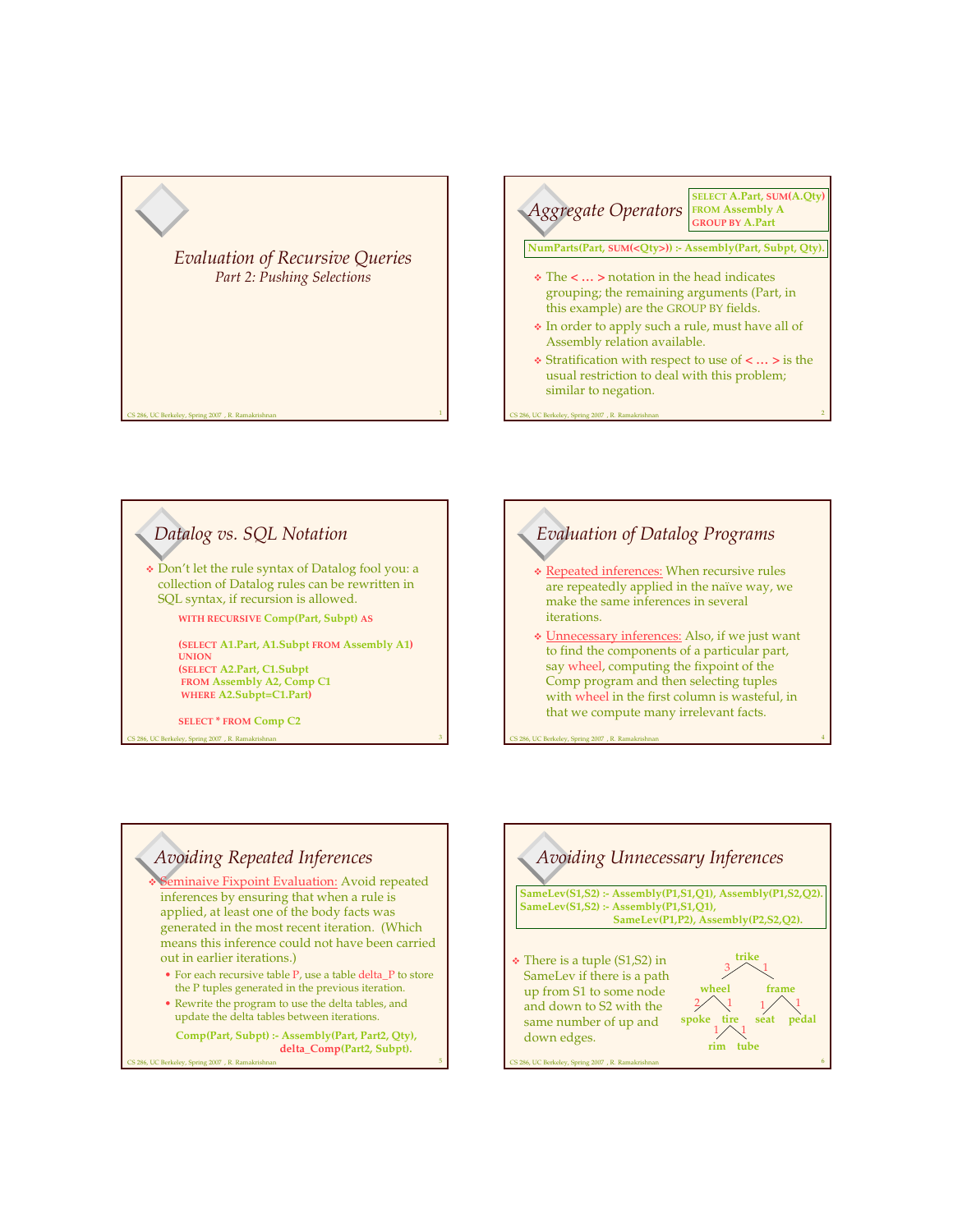





5



4

## *Avoiding Repeated Inferences*

eminaive Fixpoint Evaluation: Avoid repeated inferences by ensuring that when a rule is applied, at least one of the body facts was generated in the most recent iteration. (Which means this inference could not have been carried out in earlier iterations.)

- For each recursive table P, use a table delta\_P to store the P tuples generated in the previous iteration.
- Rewrite the program to use the delta tables, and update the delta tables between iterations.

S 286, UC Berkeley, Spring 2007 , R. Ramak

**Comp(Part, Subpt) :- Assembly(Part, Part2, Qty), delta\_Comp(Part2, Subpt).**

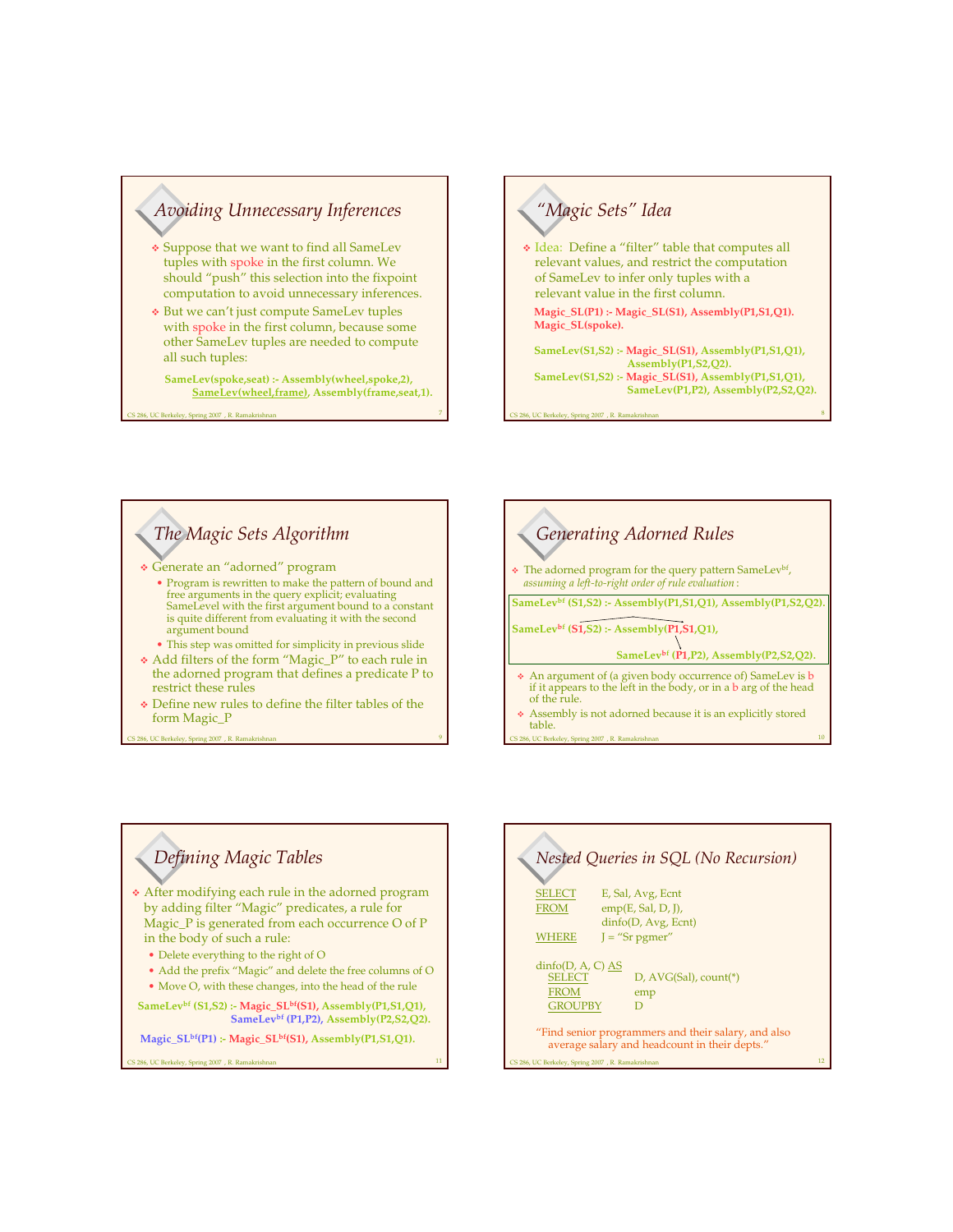## *Avoiding Unnecessary Inferences*

- Suppose that we want to find all SameLev tuples with spoke in the first column. We should "push" this selection into the fixpoint computation to avoid unnecessary inferences.
- But we can't just compute SameLev tuples with spoke in the first column, because some other SameLev tuples are needed to compute all such tuples:
	- **SameLev(spoke,seat) :- Assembly(wheel,spoke,2), SameLev(wheel,frame), Assembly(frame,seat,1).**

Spring 2007, R. Ramakrish

### *"Magic Sets" Idea* Idea: Define a "filter" table that computes all relevant values, and restrict the computation of SameLev to infer only tuples with a relevant value in the first column. **Magic\_SL(P1) :- Magic\_SL(S1), Assembly(P1,S1,Q1). Magic\_SL(spoke). SameLev(S1,S2) :- Magic\_SL(S1), Assembly(P1,S1,Q1), Assembly(P1,S2,Q2). SameLev(S1,S2) :- Magic\_SL(S1), Assembly(P1,S1,Q1),**

**SameLev(P1,P2), Assembly(P2,S2,Q2).**

8

10

CS 286, UC Berkeley, Spring 2007 , R. Ramakrishnan

#### *The Magic Sets Algorithm* Generate an "adorned" program • Program is rewritten to make the pattern of bound and free arguments in the query explicit; evaluating SameLevel with the first argument bound to a constant is quite different from evaluating it with the second argument bound • This step was omitted for simplicity in previous slide Add filters of the form "Magic\_P" to each rule in the adorned program that defines a predicate P to restrict these rules Define new rules to define the filter tables of the

form Magic\_P

CS 286, UC Berkeley, Spring 2007 , R. Ramakrishnan



CS 286, UC Berkeley, Spring 2007 , R. Ramakrishnan

9

11

# *Defining Magic Tables*

 After modifying each rule in the adorned program by adding filter "Magic" predicates, a rule for Magic\_P is generated from each occurrence O of P in the body of such a rule:

- Delete everything to the right of O
- Add the prefix "Magic" and delete the free columns of O
- Move O, with these changes, into the head of the rule

**SameLev bf (S1,S2) :- Magic\_SLbf (S1), Assembly(P1,S1,Q1), SameLev bf (P1,P2), Assembly(P2,S2,Q2).**

**Magic\_SLbf (P1) :- Magic\_SLbf (S1), Assembly(P1,S1,Q1).**

286, UC Berkeley, Spring 2007 , R. Ramakrishna

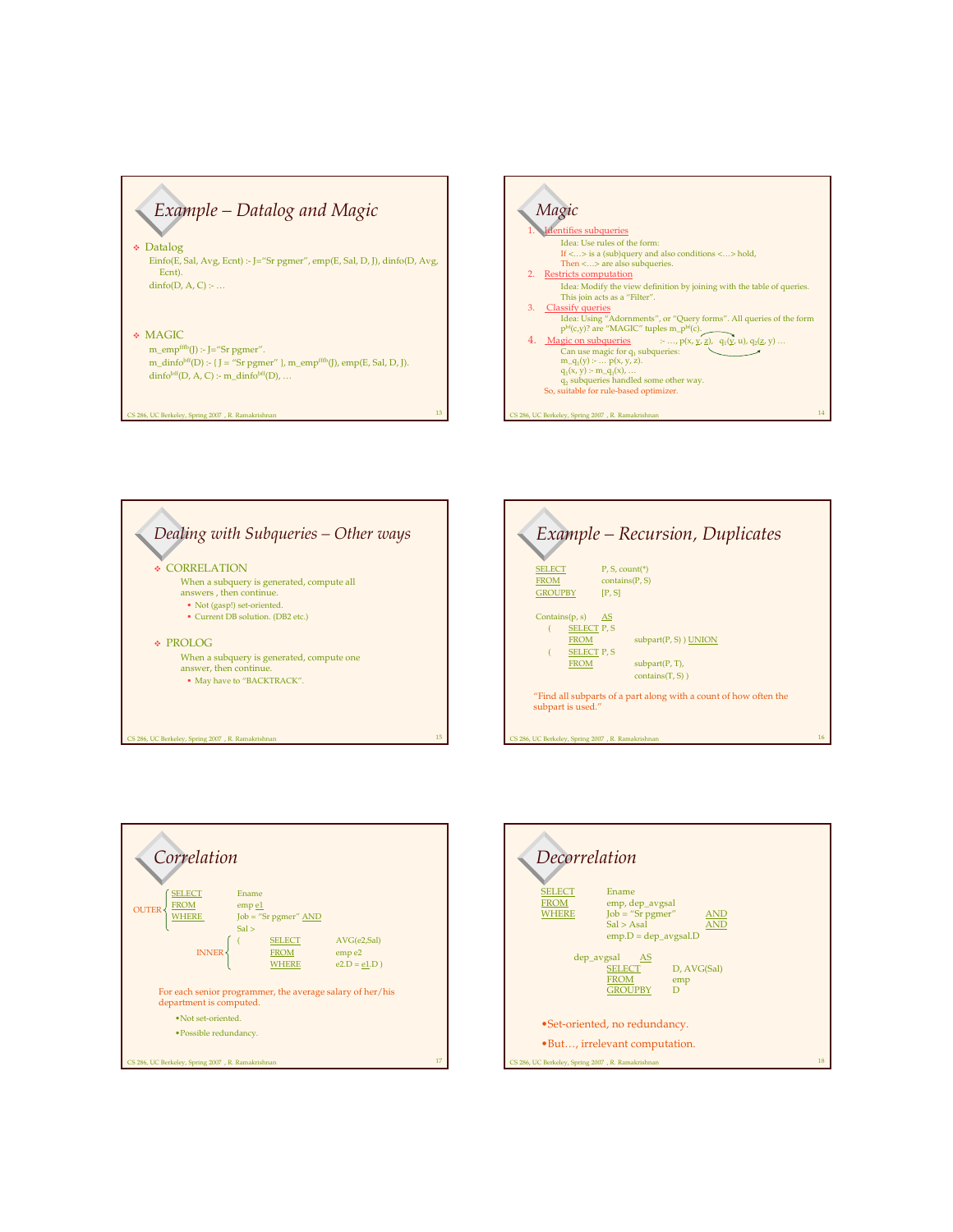*Example – Datalog and Magic*

 Datalog Einfo(E, Sal, Avg, Ecnt) :- J="Sr pgmer", emp(E, Sal, D, J), dinfo(D, Avg, Ecnt).  $dinfo(D, A, C)$  :- ...

#### MAGIC

286, UC Berkeley, Spring 2007 , R. Ramakrish

m\_emp fffb (J) :- J="Sr pgmer". m\_dinfo<sup>bff</sup>(D) :- { J = "Sr pgmer" }, m\_emp<sup>fffb</sup>(J), emp(E, Sal, D, J).  $\text{dinfo}^{\text{bff}}(D, A, C)$ :- m\_dinfo<sup>bff</sup>(D), ...









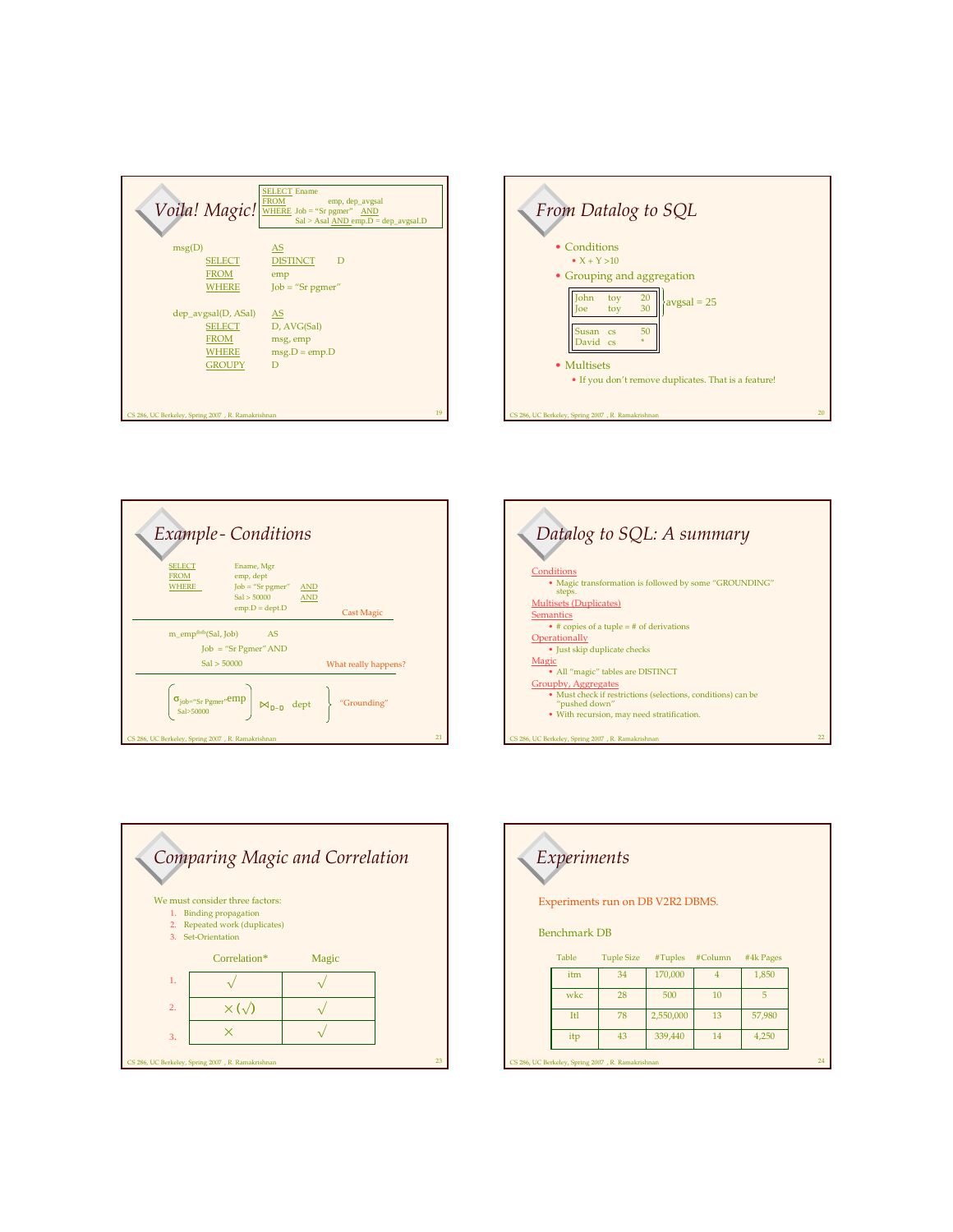|                                                                        | <b>SELECT Ename</b><br><b>FROM</b><br>emp, dep_avgsal<br>Voila! Magic! WHERE Job = "Sr pgmer" AND<br>$Sal > Asal AND$ emp. $D = dep$ avgsal. $D$ |
|------------------------------------------------------------------------|--------------------------------------------------------------------------------------------------------------------------------------------------|
| msg(D)                                                                 | AS                                                                                                                                               |
| <b>SELECT</b>                                                          | <b>DISTINCT</b><br>D                                                                                                                             |
| <b>FROM</b>                                                            | emp                                                                                                                                              |
| WHERE                                                                  | $Job = "Sr$ <i>pgmer"</i>                                                                                                                        |
| dep_avgsal(D, ASal)<br>SELECT<br><b>FROM</b><br>WHERE<br><b>GROUPY</b> | AS<br>D, AVG(Sal)<br>msg, emp<br>$msg.D = emp.D$<br>D                                                                                            |
| CS 286, UC Berkeley, Spring 2007 , R. Ramakrishnan                     | 19                                                                                                                                               |